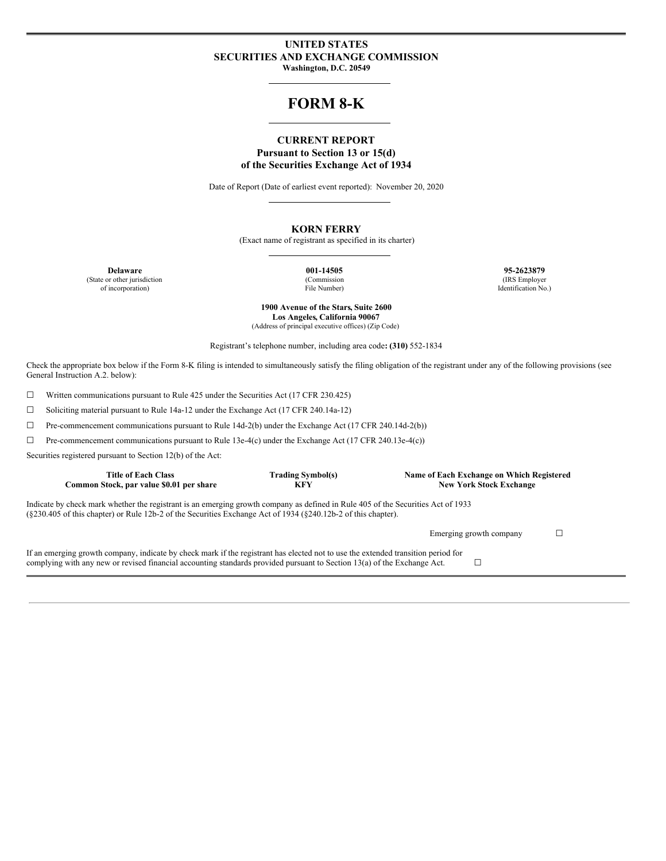### **UNITED STATES SECURITIES AND EXCHANGE COMMISSION Washington, D.C. 20549**

# **FORM 8-K**

### **CURRENT REPORT Pursuant to Section 13 or 15(d) of the Securities Exchange Act of 1934**

Date of Report (Date of earliest event reported): November 20, 2020

### **KORN FERRY**

(Exact name of registrant as specified in its charter)

(State or other jurisdiction of incorporation)

(Commission File Number)

**Delaware 001-14505 95-2623879** (IRS Employer Identification No.)

> **1900 Avenue of the Stars, Suite 2600 Los Angeles, California 90067** (Address of principal executive offices) (Zip Code)

Registrant's telephone number, including area code**: (310)** 552-1834

Check the appropriate box below if the Form 8-K filing is intended to simultaneously satisfy the filing obligation of the registrant under any of the following provisions (see General Instruction A.2. below):

☐ Written communications pursuant to Rule 425 under the Securities Act (17 CFR 230.425)

☐ Soliciting material pursuant to Rule 14a-12 under the Exchange Act (17 CFR 240.14a-12)

☐ Pre-commencement communications pursuant to Rule 14d-2(b) under the Exchange Act (17 CFR 240.14d-2(b))

☐ Pre-commencement communications pursuant to Rule 13e-4(c) under the Exchange Act (17 CFR 240.13e-4(c))

Securities registered pursuant to Section 12(b) of the Act:

| <b>Title of Each Class</b><br>Common Stock, par value \$0.01 per share                                                                                                                                                                                         | <b>Trading Symbol(s)</b><br>KFY | Name of Each Exchange on Which Registered<br><b>New York Stock Exchange</b> |  |  |  |  |  |  |  |
|----------------------------------------------------------------------------------------------------------------------------------------------------------------------------------------------------------------------------------------------------------------|---------------------------------|-----------------------------------------------------------------------------|--|--|--|--|--|--|--|
| Indicate by check mark whether the registrant is an emerging growth company as defined in Rule 405 of the Securities Act of 1933<br>$(8230.405 \text{ of this chapter})$ or Rule 12b-2 of the Securities Exchange Act of 1934 $(8240.12b-2)$ of this chapter). |                                 |                                                                             |  |  |  |  |  |  |  |
|                                                                                                                                                                                                                                                                |                                 | Emerging growth company                                                     |  |  |  |  |  |  |  |
| If an emerging growth company, indicate by check mark if the registrant has elected not to use the extended transition period for<br>complying with any new or revised financial accounting standards provided pursuant to Section 13(a) of the Exchange Act.  |                                 |                                                                             |  |  |  |  |  |  |  |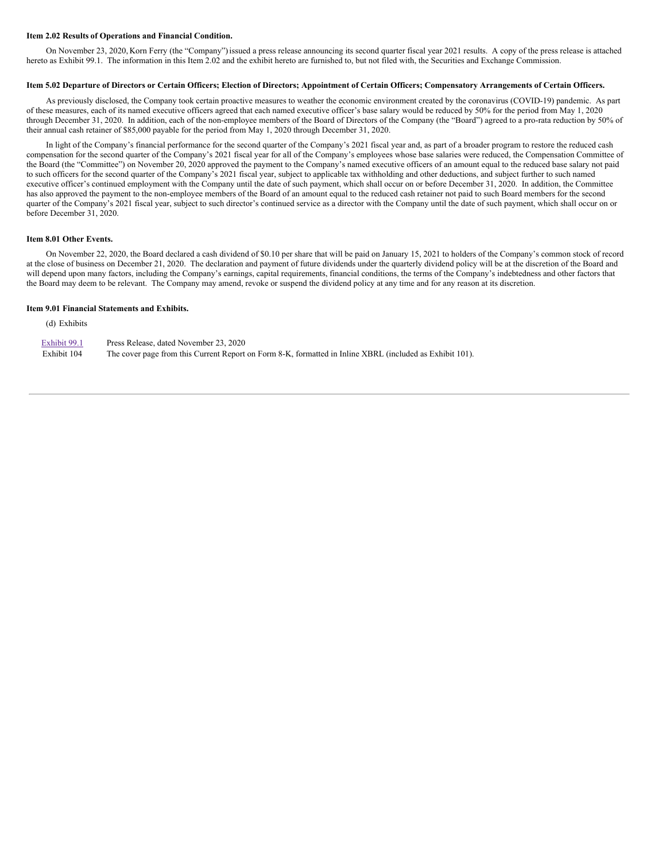#### **Item 2.02 Results of Operations and Financial Condition.**

On November 23, 2020, Korn Ferry (the "Company")issued a press release announcing its second quarter fiscal year 2021 results. A copy of the press release is attached hereto as Exhibit 99.1. The information in this Item 2.02 and the exhibit hereto are furnished to, but not filed with, the Securities and Exchange Commission.

#### Item 5.02 Departure of Directors or Certain Officers; Election of Directors; Appointment of Certain Officers; Compensatory Arrangements of Certain Officers.

As previously disclosed, the Company took certain proactive measures to weather the economic environment created by the coronavirus (COVID-19) pandemic. As part of these measures, each of its named executive officers agreed that each named executive officer's base salary would be reduced by 50% for the period from May 1, 2020 through December 31, 2020. In addition, each of the non-employee members of the Board of Directors of the Company (the "Board") agreed to a pro-rata reduction by 50% of their annual cash retainer of \$85,000 payable for the period from May 1, 2020 through December 31, 2020.

In light of the Company's financial performance for the second quarter of the Company's 2021 fiscal year and, as part of a broader program to restore the reduced cash compensation for the second quarter of the Company's 2021 fiscal year for all of the Company's employees whose base salaries were reduced, the Compensation Committee of the Board (the "Committee") on November 20, 2020 approved the payment to the Company's named executive officers of an amount equal to the reduced base salary not paid to such officers for the second quarter of the Company's 2021 fiscal year, subject to applicable tax withholding and other deductions, and subject further to such named executive officer's continued employment with the Company until the date of such payment, which shall occur on or before December 31, 2020. In addition, the Committee has also approved the payment to the non-employee members of the Board of an amount equal to the reduced cash retainer not paid to such Board members for the second quarter of the Company's 2021 fiscal year, subject to such director's continued service as a director with the Company until the date of such payment, which shall occur on or before December 31, 2020.

#### **Item 8.01 Other Events.**

On November 22, 2020, the Board declared a cash dividend of \$0.10 per share that will be paid on January 15, 2021 to holders of the Company's common stock of record at the close of business on December 21, 2020. The declaration and payment of future dividends under the quarterly dividend policy will be at the discretion of the Board and will depend upon many factors, including the Company's earnings, capital requirements, financial conditions, the terms of the Company's indebtedness and other factors that the Board may deem to be relevant. The Company may amend, revoke or suspend the dividend policy at any time and for any reason at its discretion.

#### **Item 9.01 Financial Statements and Exhibits.**

(d) Exhibits

| Exhibit 99.1 | Press Release, dated November 23, 2020                                                                   |
|--------------|----------------------------------------------------------------------------------------------------------|
| Exhibit 104  | The cover page from this Current Report on Form 8-K, formatted in Inline XBRL (included as Exhibit 101). |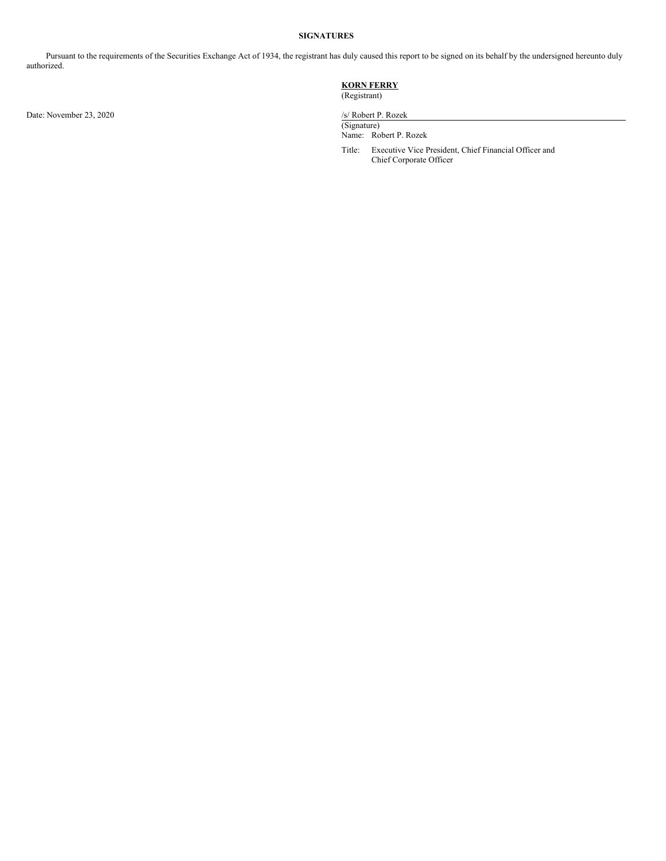### **SIGNATURES**

Pursuant to the requirements of the Securities Exchange Act of 1934, the registrant has duly caused this report to be signed on its behalf by the undersigned hereunto duly authorized.

Date: November 23, 2020 /s/ Robert P. Rozek

**KORN FERRY**

(Registrant)

(Signature) Name: Robert P. Rozek

Title: Executive Vice President, Chief Financial Officer and Chief Corporate Officer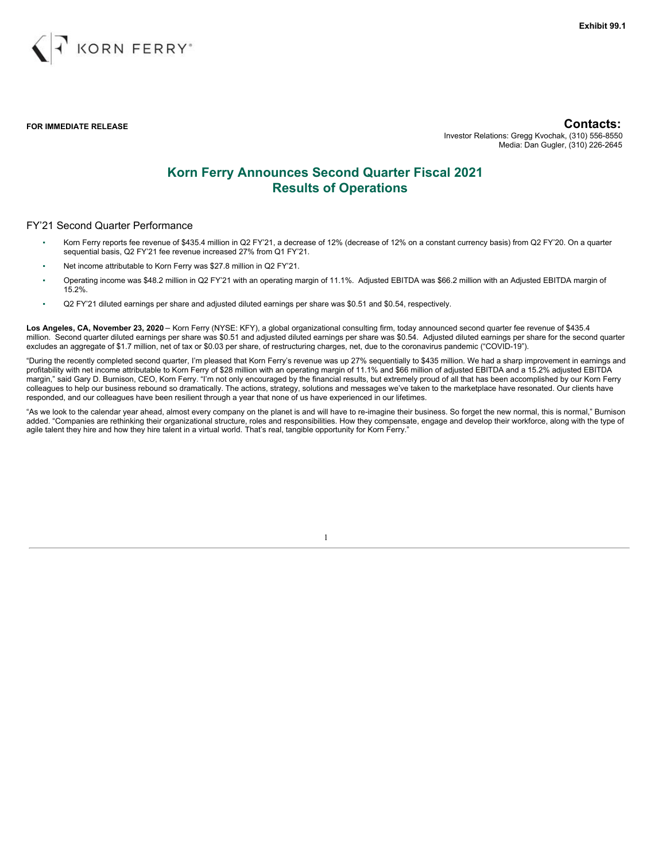

**FOR IMMEDIATE RELEASE Contacts:**

Investor Relations: Gregg Kvochak, (310) 556-8550 Media: Dan Gugler, (310) 226-2645

# **Korn Ferry Announces Second Quarter Fiscal 2021 Results of Operations**

#### FY'21 Second Quarter Performance

- Korn Ferry reports fee revenue of \$435.4 million in Q2 FY'21, a decrease of 12% (decrease of 12% on a constant currency basis) from Q2 FY'20. On a quarter sequential basis, Q2 FY'21 fee revenue increased 27% from Q1 FY'21.
- Net income attributable to Korn Ferry was \$27.8 million in Q2 FY'21.
- Operating income was \$48.2 million in Q2 FY'21 with an operating margin of 11.1%. Adjusted EBITDA was \$66.2 million with an Adjusted EBITDA margin of 15.2%.
- Q2 FY'21 diluted earnings per share and adjusted diluted earnings per share was \$0.51 and \$0.54, respectively.

**Los Angeles, CA, November 23, 2020** – Korn Ferry (NYSE: KFY), a global organizational consulting firm, today announced second quarter fee revenue of \$435.4 million. Second quarter diluted earnings per share was \$0.51 and adjusted diluted earnings per share was \$0.54. Adjusted diluted earnings per share for the second quarter excludes an aggregate of \$1.7 million, net of tax or \$0.03 per share, of restructuring charges, net, due to the coronavirus pandemic ("COVID-19").

"During the recently completed second quarter, I'm pleased that Korn Ferry's revenue was up 27% sequentially to \$435 million. We had a sharp improvement in earnings and profitability with net income attributable to Korn Ferry of \$28 million with an operating margin of 11.1% and \$66 million of adjusted EBITDA and a 15.2% adjusted EBITDA margin," said Gary D. Burnison, CEO, Korn Ferry. "I'm not only encouraged by the financial results, but extremely proud of all that has been accomplished by our Korn Ferry colleagues to help our business rebound so dramatically. The actions, strategy, solutions and messages we've taken to the marketplace have resonated. Our clients have responded, and our colleagues have been resilient through a year that none of us have experienced in our lifetimes.

"As we look to the calendar year ahead, almost every company on the planet is and will have to re-imagine their business. So forget the new normal, this is normal," Burnison added. "Companies are rethinking their organizational structure, roles and responsibilities. How they compensate, engage and develop their workforce, along with the type of agile talent they hire and how they hire talent in a virtual world. That's real, tangible opportunity for Korn Ferry."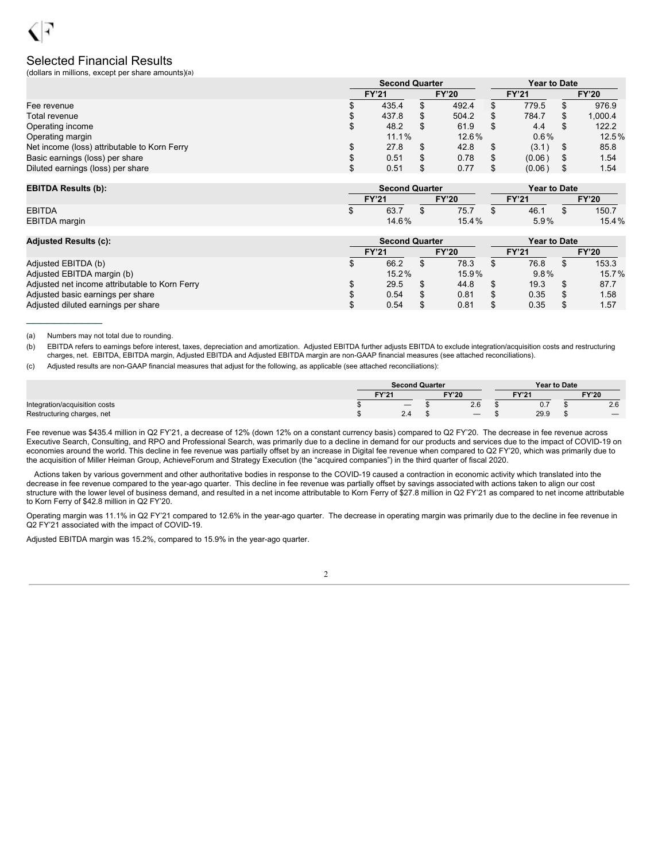### Selected Financial Results

(dollars in millions, except per share amounts)(a)

|                                              | <b>Second Quarter</b> |  |              |              |         |  | <b>Year to Date</b> |
|----------------------------------------------|-----------------------|--|--------------|--------------|---------|--|---------------------|
|                                              | <b>FY'21</b>          |  | <b>FY'20</b> | <b>FY'21</b> |         |  | <b>FY'20</b>        |
| Fee revenue                                  | 435.4                 |  | 492.4        |              | 779.5   |  | 976.9               |
| Total revenue                                | 437.8                 |  | 504.2        |              | 784.7   |  | 1.000.4             |
| Operating income                             | \$<br>48.2            |  | 61.9         |              | 4.4     |  | 122.2               |
| Operating margin                             | 11.1%                 |  | 12.6%        |              | $0.6\%$ |  | 12.5%               |
| Net income (loss) attributable to Korn Ferry | 27.8                  |  | 42.8         |              | (3.1)   |  | 85.8                |
| Basic earnings (loss) per share              | 0.51                  |  | 0.78         |              | (0.06)  |  | 1.54                |
| Diluted earnings (loss) per share            | 0.51                  |  | 0.77         |              | (0.06)  |  | 1.54                |

| <b>EBITDA Results (b):</b> |              | <b>Second Quarter</b> |  |              | <b>Year to Date</b> |       |              |       |  |
|----------------------------|--------------|-----------------------|--|--------------|---------------------|-------|--------------|-------|--|
|                            | <b>FY'21</b> |                       |  | <b>FY'20</b> |                     | FY'21 | <b>FY'20</b> |       |  |
| <b>EBITDA</b>              |              | 63.7                  |  | 75.,         |                     | 46.   |              | 150.7 |  |
| EBITDA margin              |              | 14.6%                 |  | 15.4%        |                     | 5.9%  |              | 15.4% |  |

| <b>Adjusted Results (c):</b>                   | <b>Second Quarter</b> |              | <b>Year to Date</b> |              |      |  |       |              |  |
|------------------------------------------------|-----------------------|--------------|---------------------|--------------|------|--|-------|--------------|--|
|                                                | <b>FY'21</b>          | <b>FY'20</b> |                     | <b>FY'21</b> |      |  |       | <b>FY'20</b> |  |
| Adjusted EBITDA (b)                            | 66.2                  |              | 78.3                |              | 76.8 |  | 153.3 |              |  |
| Adjusted EBITDA margin (b)                     | 15.2%                 |              | 15.9%               |              | 9.8% |  | 15.7% |              |  |
| Adjusted net income attributable to Korn Ferry | 29.5                  |              | 44.8                |              | 19.3 |  | 87.7  |              |  |
| Adjusted basic earnings per share              | 0.54                  |              | 0.81                |              | 0.35 |  | 1.58  |              |  |
| Adjusted diluted earnings per share            | 0.54                  |              | 0.81                |              | 0.35 |  | 1.57  |              |  |

(a) Numbers may not total due to rounding.

 $\frac{1}{2}$  ,  $\frac{1}{2}$  ,  $\frac{1}{2}$  ,  $\frac{1}{2}$  ,  $\frac{1}{2}$  ,  $\frac{1}{2}$  ,  $\frac{1}{2}$ 

(b) EBITDA refers to earnings before interest, taxes, depreciation and amortization. Adjusted EBITDA further adjusts EBITDA to exclude integration/acquisition costs and restructuring charges, net. EBITDA, EBITDA margin, Adjusted EBITDA and Adjusted EBITDA margin are non-GAAP financial measures (see attached reconciliations).

(c) Adjusted results are non-GAAP financial measures that adjust for the following, as applicable (see attached reconciliations):

|                               |              |                                 | <b>Second Quarter</b> |              | <b>Year to Date</b> |                          |  |              |  |
|-------------------------------|--------------|---------------------------------|-----------------------|--------------|---------------------|--------------------------|--|--------------|--|
|                               | <b>EV'94</b> |                                 |                       | <b>FY'20</b> |                     | EV <sub>10</sub><br>FIZI |  | <b>FY'20</b> |  |
| Integration/acquisition costs |              | $\hspace{0.1mm}-\hspace{0.1mm}$ |                       | Z.O          |                     | 0.7                      |  | 2.6          |  |
| Restructuring charges, net    |              | $\sim$<br>$\mathcal{L}$ .4      |                       |              |                     | 29.9                     |  |              |  |

Fee revenue was \$435.4 million in Q2 FY'21, a decrease of 12% (down 12% on a constant currency basis) compared to Q2 FY'20. The decrease in fee revenue across Executive Search, Consulting, and RPO and Professional Search, was primarily due to a decline in demand for our products and services due to the impact of COVID-19 on economies around the world. This decline in fee revenue was partially offset by an increase in Digital fee revenue when compared to Q2 FY'20, which was primarily due to the acquisition of Miller Heiman Group, AchieveForum and Strategy Execution (the "acquired companies") in the third quarter of fiscal 2020.

Actions taken by various government and other authoritative bodies in response to the COVID-19 caused a contraction in economic activity which translated into the decrease in fee revenue compared to the year-ago quarter. This decline in fee revenue was partially offset by savings associated with actions taken to align our cost structure with the lower level of business demand, and resulted in a net income attributable to Korn Ferry of \$27.8 million in Q2 FY'21 as compared to net income attributable to Korn Ferry of \$42.8 million in Q2 FY'20.

Operating margin was 11.1% in Q2 FY'21 compared to 12.6% in the year-ago quarter. The decrease in operating margin was primarily due to the decline in fee revenue in Q2 FY'21 associated with the impact of COVID-19.

Adjusted EBITDA margin was 15.2%, compared to 15.9% in the year-ago quarter.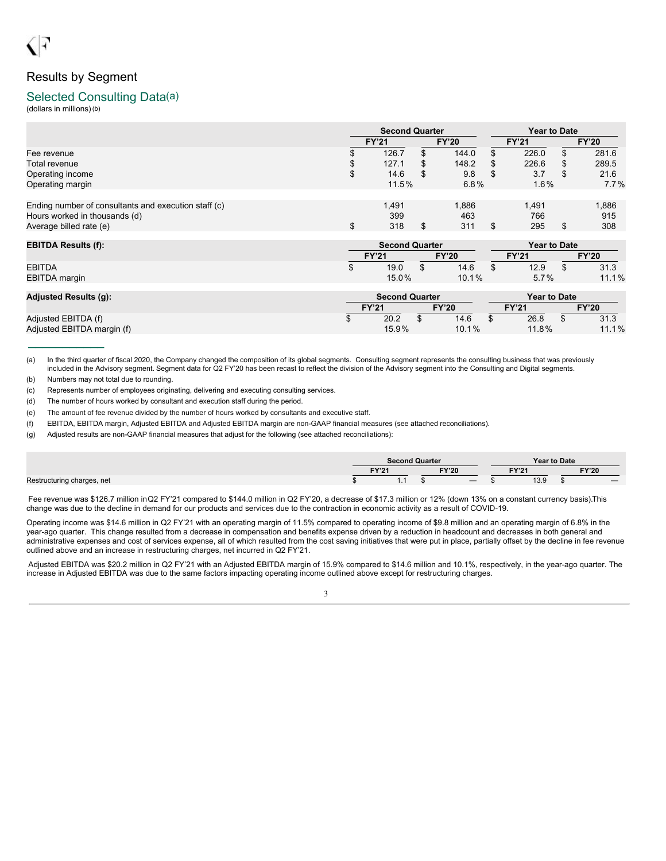# Results by Segment

### Selected Consulting Data(a)

(dollars in millions)(b)

|                                                      |    | <b>Second Quarter</b> |    |              | Year to Date |              |    |              |  |  |
|------------------------------------------------------|----|-----------------------|----|--------------|--------------|--------------|----|--------------|--|--|
|                                                      |    | <b>FY'21</b>          |    | <b>FY'20</b> |              | <b>FY'21</b> |    | <b>FY'20</b> |  |  |
| Fee revenue                                          |    | 126.7                 | ж. | 144.0        | S            | 226.0        | S  | 281.6        |  |  |
| Total revenue                                        | Φ  | 127.1                 | S  | 148.2        | \$           | 226.6        | \$ | 289.5        |  |  |
| Operating income                                     | \$ | 14.6                  | \$ | 9.8          | S            | 3.7          | \$ | 21.6         |  |  |
| Operating margin                                     |    | 11.5%                 |    | 6.8%         |              | $1.6\%$      |    | $7.7\%$      |  |  |
|                                                      |    |                       |    |              |              |              |    |              |  |  |
| Ending number of consultants and execution staff (c) |    | 1.491                 |    | 1.886        |              | 1.491        |    | 1,886        |  |  |
| Hours worked in thousands (d)                        |    | 399                   |    | 463          |              | 766          |    | 915          |  |  |
| Average billed rate (e)                              | \$ | 318                   | \$ | 311          | S            | 295          | \$ | 308          |  |  |
|                                                      |    |                       |    |              |              |              |    |              |  |  |

| <b>EBITDA Results (f):</b> | <b>Second Quarter</b> |  |       |              |              |  | Year to Date |
|----------------------------|-----------------------|--|-------|--------------|--------------|--|--------------|
|                            | <b>FY'21</b>          |  |       | <b>FY'20</b> |              |  | <b>FY'20</b> |
| <b>EBITDA</b>              | 19.0                  |  | 14.6  |              | 12.9         |  | 31.3         |
| EBITDA margin              | 15.0%                 |  | 10.1% |              | 5.7%         |  | 11.1%        |
|                            |                       |  |       |              |              |  |              |
| Adjucted Peculte (a):      | Second Quarter        |  |       |              | Voar to Dato |  |              |

| Adjusted Results (g):                             |              | <b>Second Quarter</b> |  |               |              | Year to Date  |  |               |  |
|---------------------------------------------------|--------------|-----------------------|--|---------------|--------------|---------------|--|---------------|--|
|                                                   | <b>FY'21</b> |                       |  | <b>FY'20</b>  | <b>FY'21</b> |               |  | <b>FY'20</b>  |  |
| Adjusted EBITDA (f)<br>Adjusted EBITDA margin (f) |              | 20.2<br>$15.9\%$      |  | 14.6<br>10.1% |              | 26.8<br>11.8% |  | 31.3<br>11.1% |  |
|                                                   |              |                       |  |               |              |               |  |               |  |

(a) In the third quarter of fiscal 2020, the Company changed the composition of its global segments. Consulting segment represents the consulting business that was previously included in the Advisory segment. Segment data for Q2 FY'20 has been recast to reflect the division of the Advisory segment into the Consulting and Digital segments.

(b) Numbers may not total due to rounding.

(c) Represents number of employees originating, delivering and executing consulting services.

(d) The number of hours worked by consultant and execution staff during the period.

(e) The amount of fee revenue divided by the number of hours worked by consultants and executive staff.

(f) EBITDA, EBITDA margin, Adjusted EBITDA and Adjusted EBITDA margin are non-GAAP financial measures (see attached reconciliations).

(g) Adjusted results are non-GAAP financial measures that adjust for the following (see attached reconciliations):

|                            |                       | <b>Second Quarter</b> |  |       |              | Year to Date |  |  |
|----------------------------|-----------------------|-----------------------|--|-------|--------------|--------------|--|--|
|                            | <b>FY'20</b><br>EVI24 |                       |  | EV'O' | <b>FY'20</b> |              |  |  |
| Restructuring charges, net |                       | .                     |  |       | 13.9         |              |  |  |

Fee revenue was \$126.7 million inQ2 FY'21 compared to \$144.0 million in Q2 FY'20, a decrease of \$17.3 million or 12% (down 13% on a constant currency basis).This change was due to the decline in demand for our products and services due to the contraction in economic activity as a result of COVID-19.

Operating income was \$14.6 million in Q2 FY'21 with an operating margin of 11.5% compared to operating income of \$9.8 million and an operating margin of 6.8% in the year-ago quarter. This change resulted from a decrease in compensation and benefits expense driven by a reduction in headcount and decreases in both general and administrative expenses and cost of services expense, all of which resulted from the cost saving initiatives that were put in place, partially offset by the decline in fee revenue outlined above and an increase in restructuring charges, net incurred in Q2 FY'21.

Adjusted EBITDA was \$20.2 million in Q2 FY'21 with an Adjusted EBITDA margin of 15.9% compared to \$14.6 million and 10.1%, respectively, in the year-ago quarter. The increase in Adjusted EBITDA was due to the same factors impacting operating income outlined above except for restructuring charges.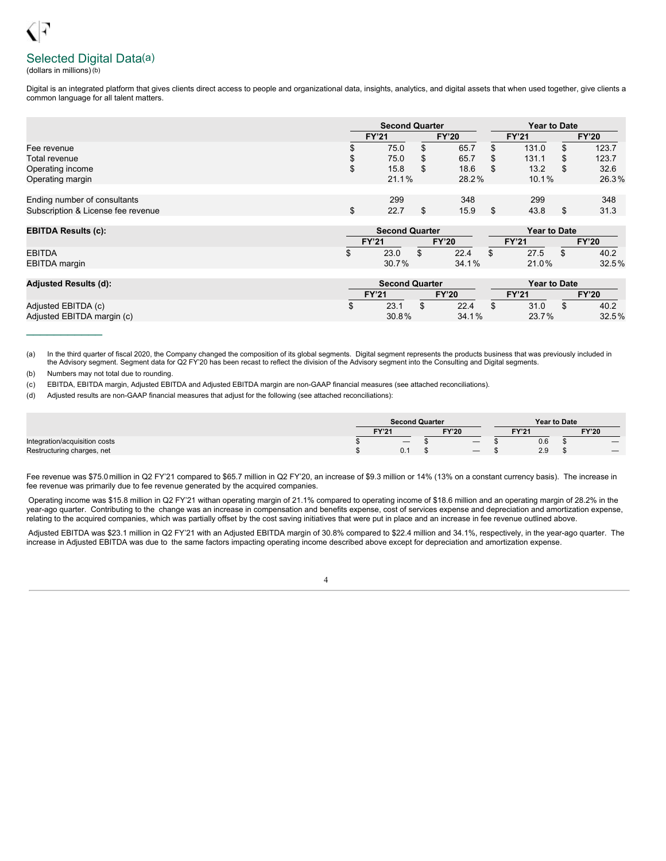# Selected Digital Data(a)

(dollars in millions)(b)

Digital is an integrated platform that gives clients direct access to people and organizational data, insights, analytics, and digital assets that when used together, give clients a common language for all talent matters.

|                                    |    | <b>Second Quarter</b>        |   |       | <b>Year to Date</b> |       |              |       |  |
|------------------------------------|----|------------------------------|---|-------|---------------------|-------|--------------|-------|--|
|                                    |    | <b>FY'20</b><br><b>FY'21</b> |   |       | <b>FY'21</b>        |       | <b>FY'20</b> |       |  |
| Fee revenue                        |    | 75.0                         | S | 65.7  |                     | 131.0 |              | 123.7 |  |
| Total revenue                      | S  | 75.0                         | S | 65.7  |                     | 131.1 |              | 123.7 |  |
| Operating income                   | \$ | 15.8                         |   | 18.6  | -S                  | 13.2  |              | 32.6  |  |
| Operating margin                   |    | 21.1%                        |   | 28.2% |                     | 10.1% |              | 26.3% |  |
|                                    |    |                              |   |       |                     |       |              |       |  |
| Ending number of consultants       |    | 299                          |   | 348   |                     | 299   |              | 348   |  |
| Subscription & License fee revenue | \$ | 22.7                         |   | 15.9  |                     | 43.8  | .S           | 31.3  |  |

| <b>EBITDA Results (c):</b> |              | <b>Second Quarter</b> |   |              | <b>Year to Date</b> |       |  |              |
|----------------------------|--------------|-----------------------|---|--------------|---------------------|-------|--|--------------|
|                            | <b>FY'21</b> |                       |   | <b>FY'20</b> | FY'21               |       |  | <b>FY'20</b> |
| <b>EBITDA</b>              |              | 23.0                  | w | 22.4         |                     | 27.5  |  | 40.2         |
| <b>EBITDA</b> margin       |              | 30.7%                 |   | 34.1%        |                     | 21.0% |  | 32.5%        |

| <b>Adjusted Results (d):</b> | <b>Second Quarter</b> |       |              |       |  | <b>Year to Date</b> |  |              |  |  |
|------------------------------|-----------------------|-------|--------------|-------|--|---------------------|--|--------------|--|--|
|                              | <b>FY'21</b>          |       | <b>FY'20</b> |       |  | $-Y'21$             |  | <b>FY'20</b> |  |  |
| Adjusted EBITDA (c)          |                       | 23.1  |              | 22.4  |  | 31.0                |  | 40.2         |  |  |
| Adjusted EBITDA margin (c)   |                       | 30.8% |              | 34.1% |  | 23.7%               |  | 32.5%        |  |  |

(a) In the third quarter of fiscal 2020, the Company changed the composition of its global segments. Digital segment represents the products business that was previously included in the Advisory segment. Segment data for Q2 FY'20 has been recast to reflect the division of the Advisory segment into the Consulting and Digital segments.

(b) Numbers may not total due to rounding.

 $\frac{1}{2}$  ,  $\frac{1}{2}$  ,  $\frac{1}{2}$  ,  $\frac{1}{2}$  ,  $\frac{1}{2}$  ,  $\frac{1}{2}$  ,  $\frac{1}{2}$ 

(c) EBITDA, EBITDA margin, Adjusted EBITDA and Adjusted EBITDA margin are non-GAAP financial measures (see attached reconciliations).

(d) Adjusted results are non-GAAP financial measures that adjust for the following (see attached reconciliations):

|                               | <b>Second Quarter</b> |  |              |     |       | <b>Year to Date</b> |  |              |  |
|-------------------------------|-----------------------|--|--------------|-----|-------|---------------------|--|--------------|--|
|                               | <b>FY'21</b>          |  | <b>FY'20</b> |     | EV'?' |                     |  | <b>FY'20</b> |  |
| Integration/acquisition costs |                       |  |              | $-$ |       | 0.6                 |  |              |  |
| Restructuring charges, net    |                       |  |              |     |       | 2.9                 |  |              |  |

Fee revenue was \$75.0 million in Q2 FY'21 compared to \$65.7 million in Q2 FY'20, an increase of \$9.3 million or 14% (13% on a constant currency basis). The increase in fee revenue was primarily due to fee revenue generated by the acquired companies.

Operating income was \$15.8 million in Q2 FY'21 withan operating margin of 21.1% compared to operating income of \$18.6 million and an operating margin of 28.2% in the year-ago quarter. Contributing to the change was an increase in compensation and benefits expense, cost of services expense and depreciation and amortization expense, relating to the acquired companies, which was partially offset by the cost saving initiatives that were put in place and an increase in fee revenue outlined above.

Adjusted EBITDA was \$23.1 million in Q2 FY'21 with an Adjusted EBITDA margin of 30.8% compared to \$22.4 million and 34.1%, respectively, in the year-ago quarter. The increase in Adjusted EBITDA was due to the same factors impacting operating income described above except for depreciation and amortization expense.

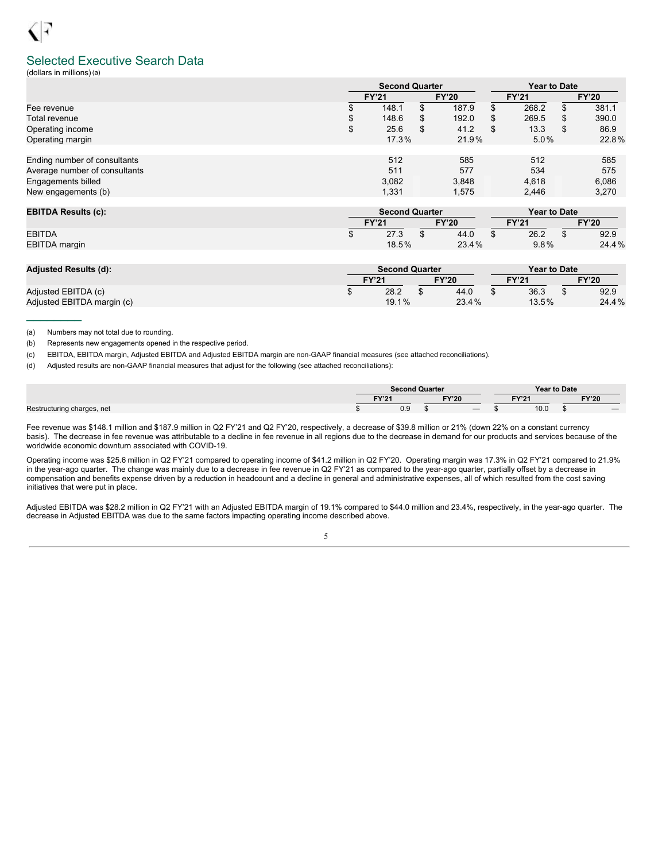### Selected Executive Search Data

(dollars in millions)(a)

|                               |       | <b>Second Quarter</b>        |       |       | <b>Year to Date</b> |         |   |              |  |
|-------------------------------|-------|------------------------------|-------|-------|---------------------|---------|---|--------------|--|
|                               |       | <b>FY'20</b><br><b>FY'21</b> |       |       | <b>FY'21</b>        |         |   | <b>FY'20</b> |  |
| Fee revenue                   |       | 148.1                        | ۰D.   | 187.9 |                     | 268.2   |   | 381.1        |  |
| Total revenue                 | \$    | 148.6                        | SS.   | 192.0 | S                   | 269.5   | S | 390.0        |  |
| Operating income              | \$    | 25.6                         | S     | 41.2  | S                   | 13.3    | S | 86.9         |  |
| Operating margin              | 17.3% |                              | 21.9% |       |                     | $5.0\%$ |   | 22.8%        |  |
|                               |       |                              |       |       |                     |         |   |              |  |
| Ending number of consultants  |       | 512                          |       | 585   |                     | 512     |   | 585          |  |
| Average number of consultants |       | 511                          |       | 577   |                     | 534     |   | 575          |  |
| Engagements billed            |       | 3,082                        |       | 3.848 |                     | 4,618   |   | 6,086        |  |
| New engagements (b)           |       | 1,331                        |       | 1.575 |                     | 2.446   |   | 3,270        |  |

| <b>EBITDA Results (c):</b> | <b>Second Quarter</b> |       |  |              |       | Year to Date |  |              |  |
|----------------------------|-----------------------|-------|--|--------------|-------|--------------|--|--------------|--|
|                            | <b>FY'21</b>          |       |  | <b>FY'20</b> | TY'21 |              |  | <b>FY'20</b> |  |
| <b>EBITDA</b>              |                       | 27.3  |  | 44.0         |       | 26.2         |  | 92.9         |  |
| <b>EBITDA</b> margin       |                       | 18.5% |  | 23.4%        |       | $9.8\%$      |  | 24.4%        |  |

| <b>Adjusted Results (d):</b> | <b>Second Quarter</b> |       |              |       |              | <b>Year to Date</b> |              |       |  |
|------------------------------|-----------------------|-------|--------------|-------|--------------|---------------------|--------------|-------|--|
|                              | <b>FY'21</b>          |       | <b>FY'20</b> |       | <b>FY'21</b> |                     | <b>FY'20</b> |       |  |
| Adjusted EBITDA (c)          |                       | 28.2  |              | 44.0  |              | 36.3                |              | 92.9  |  |
| Adjusted EBITDA margin (c)   |                       | 19.1% |              | 23.4% |              | 13.5%               |              | 24.4% |  |

(a) Numbers may not total due to rounding.

 $\frac{1}{2}$ 

(b) Represents new engagements opened in the respective period.

(c) EBITDA, EBITDA margin, Adjusted EBITDA and Adjusted EBITDA margin are non-GAAP financial measures (see attached reconciliations).

(d) Adjusted results are non-GAAP financial measures that adjust for the following (see attached reconciliations):

|                            | <b>Second Quarter</b> |              |  | <b>Year to Date</b> |  |                                 |
|----------------------------|-----------------------|--------------|--|---------------------|--|---------------------------------|
|                            | EVI24<br>14 L         | <b>FY'20</b> |  | EVI24               |  | <b>FY'20</b>                    |
| Restructuring charges, net | 0.9                   |              |  | 10.0                |  | $\hspace{0.1mm}-\hspace{0.1mm}$ |

Fee revenue was \$148.1 million and \$187.9 million in Q2 FY'21 and Q2 FY'20, respectively, a decrease of \$39.8 million or 21% (down 22% on a constant currency basis). The decrease in fee revenue was attributable to a decline in fee revenue in all regions due to the decrease in demand for our products and services because of the worldwide economic downturn associated with COVID-19.

Operating income was \$25.6 million in Q2 FY'21 compared to operating income of \$41.2 million in Q2 FY'20. Operating margin was 17.3% in Q2 FY'21 compared to 21.9% in the year-ago quarter. The change was mainly due to a decrease in fee revenue in Q2 FY'21 as compared to the year-ago quarter, partially offset by a decrease in compensation and benefits expense driven by a reduction in headcount and a decline in general and administrative expenses, all of which resulted from the cost saving initiatives that were put in place.

Adjusted EBITDA was \$28.2 million in Q2 FY'21 with an Adjusted EBITDA margin of 19.1% compared to \$44.0 million and 23.4%, respectively, in the year-ago quarter. The decrease in Adjusted EBITDA was due to the same factors impacting operating income described above.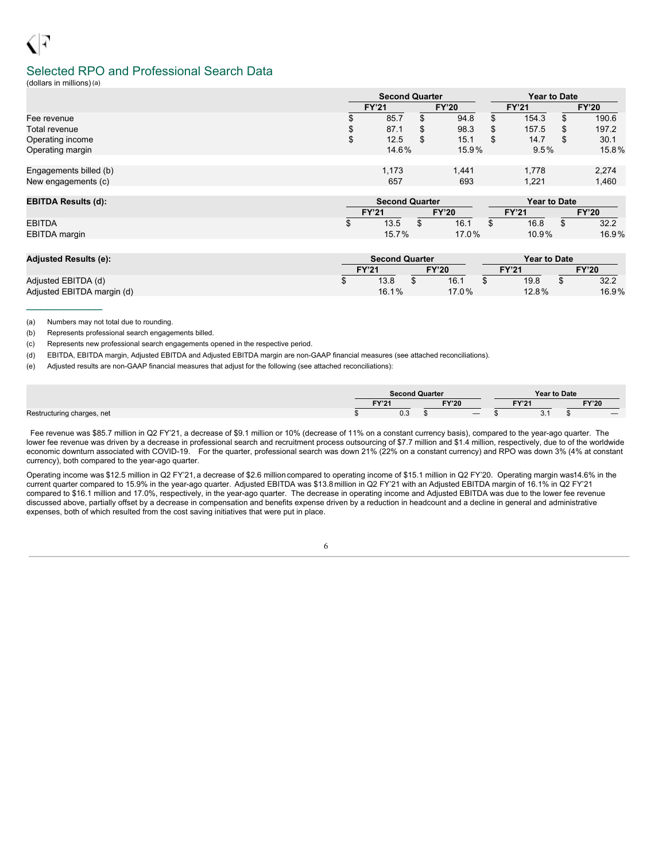### Selected RPO and Professional Search Data

(dollars in millions)(a)

|                        | <b>Second Quarter</b> |              |       | <b>Year to Date</b> |       |   |              |  |
|------------------------|-----------------------|--------------|-------|---------------------|-------|---|--------------|--|
|                        | <b>FY'21</b>          | <b>FY'20</b> |       | <b>FY'21</b>        |       |   | <b>FY'20</b> |  |
| Fee revenue            | 85.7                  |              | 94.8  |                     | 154.3 | S | 190.6        |  |
| Total revenue          | \$<br>87.1            | ۰D           | 98.3  | \$                  | 157.5 | S | 197.2        |  |
| Operating income       | \$<br>12.5            | จ            | 15.1  |                     | 14.7  | S | 30.1         |  |
| Operating margin       | 14.6%                 |              | 15.9% | 9.5%                |       |   | 15.8%        |  |
|                        |                       |              |       |                     |       |   |              |  |
| Engagements billed (b) | 1,173                 |              | 1,441 |                     | 1.778 |   | 2,274        |  |
| New engagements (c)    | 657                   |              | 693   | 1,221               |       |   | 1,460        |  |
|                        |                       |              |       |                     |       |   |              |  |

| <b>EBITDA Results (d):</b> | <b>Second Quarter</b> |       |  |              |  | Year to Date |              |       |  |
|----------------------------|-----------------------|-------|--|--------------|--|--------------|--------------|-------|--|
|                            | <b>FY'21</b>          |       |  | <b>FY'20</b> |  | <b>FY'21</b> | <b>FY'20</b> |       |  |
| <b>EBITDA</b>              |                       | 13.5  |  | 16.1         |  | 16.8         |              | 32.2  |  |
| EBITDA margin              |                       | 15.7% |  | $17.0\%$     |  | $10.9\%$     |              | 16.9% |  |

| <b>Adjusted Results (e):</b> | <b>Second Quarter</b> |       |              |       |  | <b>Year to Date</b> |  |              |  |
|------------------------------|-----------------------|-------|--------------|-------|--|---------------------|--|--------------|--|
|                              | <b>FY'21</b>          |       | <b>FY'20</b> |       |  | <b>FY'21</b>        |  | <b>FY'20</b> |  |
| Adjusted EBITDA (d)          |                       | 13.8  |              | 16.1  |  | 19.8                |  | 32.2         |  |
| Adjusted EBITDA margin (d)   |                       | 16.1% |              | 17.0% |  | 12.8%               |  | 16.9%        |  |

(a) Numbers may not total due to rounding.

 $\frac{1}{2}$  ,  $\frac{1}{2}$  ,  $\frac{1}{2}$  ,  $\frac{1}{2}$  ,  $\frac{1}{2}$  ,  $\frac{1}{2}$  ,  $\frac{1}{2}$ 

(b) Represents professional search engagements billed.

(c) Represents new professional search engagements opened in the respective period.

(d) EBITDA, EBITDA margin, Adjusted EBITDA and Adjusted EBITDA margin are non-GAAP financial measures (see attached reconciliations).

(e) Adjusted results are non-GAAP financial measures that adjust for the following (see attached reconciliations):

|                            | Second Quarter    |              |  |                   | <b>Year to Date</b> |  |              |
|----------------------------|-------------------|--------------|--|-------------------|---------------------|--|--------------|
|                            | EV <sub>104</sub> | <b>FY'20</b> |  | EV <sub>104</sub> |                     |  | <b>FY'20</b> |
| Restructuring charges, net | റാ<br>υ.υ         |              |  |                   | -<br>$\cup$ . I     |  |              |

Fee revenue was \$85.7 million in Q2 FY'21, a decrease of \$9.1 million or 10% (decrease of 11% on a constant currency basis), compared to the year-ago quarter. The lower fee revenue was driven by a decrease in professional search and recruitment process outsourcing of \$7.7 million and \$1.4 million, respectively, due to of the worldwide economic downturn associated with COVID-19. For the quarter, professional search was down 21% (22% on a constant currency) and RPO was down 3% (4% at constant currency), both compared to the year-ago quarter.

Operating income was \$12.5 million in Q2 FY'21, a decrease of \$2.6 million compared to operating income of \$15.1 million in Q2 FY'20. Operating margin was14.6% in the current quarter compared to 15.9% in the year-ago quarter. Adjusted EBITDA was \$13.8 million in Q2 FY'21 with an Adjusted EBITDA margin of 16.1% in Q2 FY'21 compared to \$16.1 million and 17.0%, respectively, in the year-ago quarter. The decrease in operating income and Adjusted EBITDA was due to the lower fee revenue discussed above, partially offset by a decrease in compensation and benefits expense driven by a reduction in headcount and a decline in general and administrative expenses, both of which resulted from the cost saving initiatives that were put in place.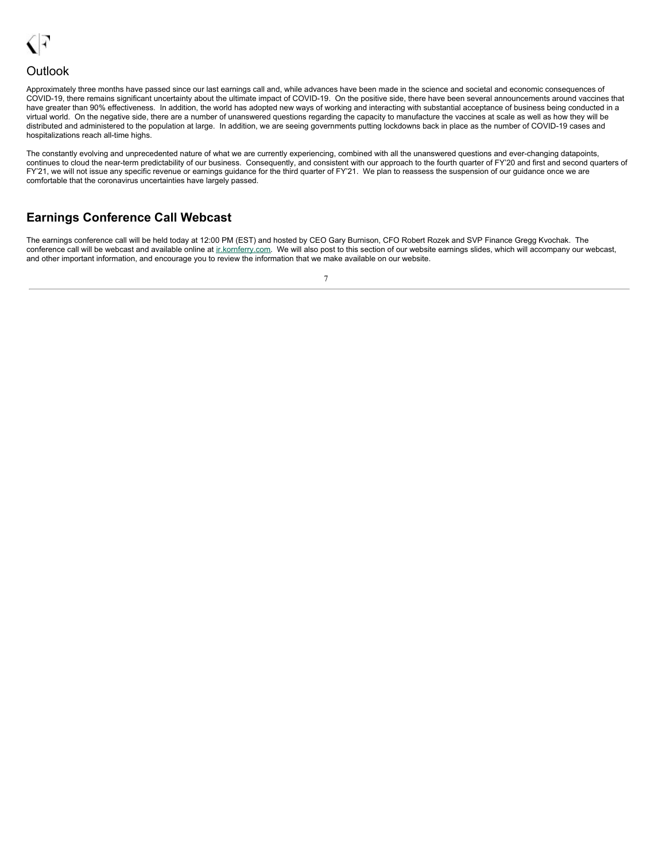

### **Outlook**

Approximately three months have passed since our last earnings call and, while advances have been made in the science and societal and economic consequences of COVID-19, there remains significant uncertainty about the ultimate impact of COVID-19. On the positive side, there have been several announcements around vaccines that have greater than 90% effectiveness. In addition, the world has adopted new ways of working and interacting with substantial acceptance of business being conducted in a virtual world. On the negative side, there are a number of unanswered questions regarding the capacity to manufacture the vaccines at scale as well as how they will be distributed and administered to the population at large. In addition, we are seeing governments putting lockdowns back in place as the number of COVID-19 cases and hospitalizations reach all-time highs.

The constantly evolving and unprecedented nature of what we are currently experiencing, combined with all the unanswered questions and ever-changing datapoints, continues to cloud the near-term predictability of our business. Consequently, and consistent with our approach to the fourth quarter of FY'20 and first and second quarters of FY'21, we will not issue any specific revenue or earnings guidance for the third quarter of FY'21. We plan to reassess the suspension of our guidance once we are comfortable that the coronavirus uncertainties have largely passed.

# **Earnings Conference Call Webcast**

The earnings conference call will be held today at 12:00 PM (EST) and hosted by CEO Gary Burnison, CFO Robert Rozek and SVP Finance Gregg Kvochak. The conference call will be webcast and available online at ir.kornferry.com. We will also post to this section of our website earnings slides, which will accompany our webcast, and other important information, and encourage you to review the information that we make available on our website.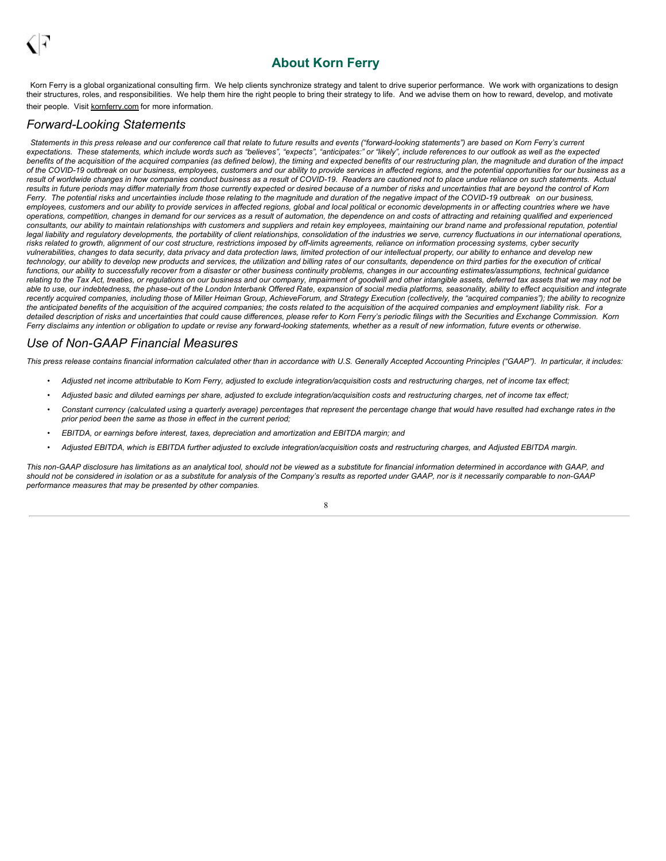# <span id="page-10-0"></span>**About Korn Ferry**

Korn Ferry is a global organizational consulting firm. We help clients synchronize strategy and talent to drive superior performance. We work with organizations to design their structures, roles, and responsibilities. We help them hire the right people to bring their strategy to life. And we advise them on how to reward, develop, and motivate their people. Visit kornferry.com for more information.

### *Forward-Looking Statements*

Statements in this press release and our conference call that relate to future results and events ("forward-looking statements") are based on Korn Ferry's current expectations. These statements, which include words such as "believes", "expects", "anticipates:" or "likely", include references to our outlook as well as the expected benefits of the acquisition of the acquired companies (as defined below), the timing and expected benefits of our restructuring plan, the magnitude and duration of the impact of the COVID-19 outbreak on our business, employees, customers and our ability to provide services in affected regions, and the potential opportunities for our business as a result of worldwide changes in how companies conduct business as a result of COVID-19. Readers are cautioned not to place undue reliance on such statements. Actual results in future periods may differ materially from those currently expected or desired because of a number of risks and uncertainties that are beyond the control of Korn Ferry. The potential risks and uncertainties include those relating to the magnitude and duration of the negative impact of the COVID-19 outbreak on our business, employees, customers and our ability to provide services in affected regions, global and local political or economic developments in or affecting countries where we have operations, competition, changes in demand for our services as a result of automation, the dependence on and costs of attracting and retaining qualified and experienced consultants, our ability to maintain relationships with customers and suppliers and retain key employees, maintaining our brand name and professional reputation, potential legal liability and regulatory developments, the portability of client relationships, consolidation of the industries we serve, currency fluctuations in our international operations, risks related to growth, alignment of our cost structure, restrictions imposed by off-limits agreements, reliance on information processing systems, cyber security vulnerabilities, changes to data security, data privacy and data protection laws, limited protection of our intellectual property, our ability to enhance and develop new technology, our ability to develop new products and services, the utilization and billing rates of our consultants, dependence on third parties for the execution of critical functions, our ability to successfully recover from a disaster or other business continuity problems, changes in our accounting estimates/assumptions, technical guidance relating to the Tax Act, treaties, or regulations on our business and our company, impairment of goodwill and other intangible assets, deferred tax assets that we may not be able to use, our indebtedness, the phase-out of the London Interbank Offered Rate, expansion of social media platforms, seasonality, ability to effect acquisition and integrate recently acquired companies, including those of Miller Heiman Group, AchieveForum, and Strategy Execution (collectively, the "acquired companies"); the ability to recognize the anticipated benefits of the acquisition of the acquired companies; the costs related to the acquisition of the acquired companies and employment liability risk. For a detailed description of risks and uncertainties that could cause differences, please refer to Korn Ferry's periodic filings with the Securities and Exchange Commission. Korn Ferry disclaims any intention or obligation to update or revise any forward-looking statements, whether as a result of new information, future events or otherwise.

## *Use of Non-GAAP Financial Measures*

This press release contains financial information calculated other than in accordance with U.S. Generally Accepted Accounting Principles ("GAAP"). In particular, it includes:

- Adjusted net income attributable to Korn Ferry, adjusted to exclude integration/acquisition costs and restructuring charges, net of income tax effect;
- Adjusted basic and diluted earnings per share, adjusted to exclude integration/acquisition costs and restructuring charges, net of income tax effect;
- Constant currency (calculated using a quarterly average) percentages that represent the percentage change that would have resulted had exchange rates in the *prior period been the same as those in effect in the current period;*
- *• EBITDA, or earnings before interest, taxes, depreciation and amortization and EBITDA margin; and*
- Adjusted EBITDA, which is EBITDA further adjusted to exclude integration/acquisition costs and restructuring charges, and Adjusted EBITDA margin.

This non-GAAP disclosure has limitations as an analytical tool, should not be viewed as a substitute for financial information determined in accordance with GAAP, and should not be considered in isolation or as a substitute for analysis of the Company's results as reported under GAAP, nor is it necessarily comparable to non-GAAP *performance measures that may be presented by other companies.*

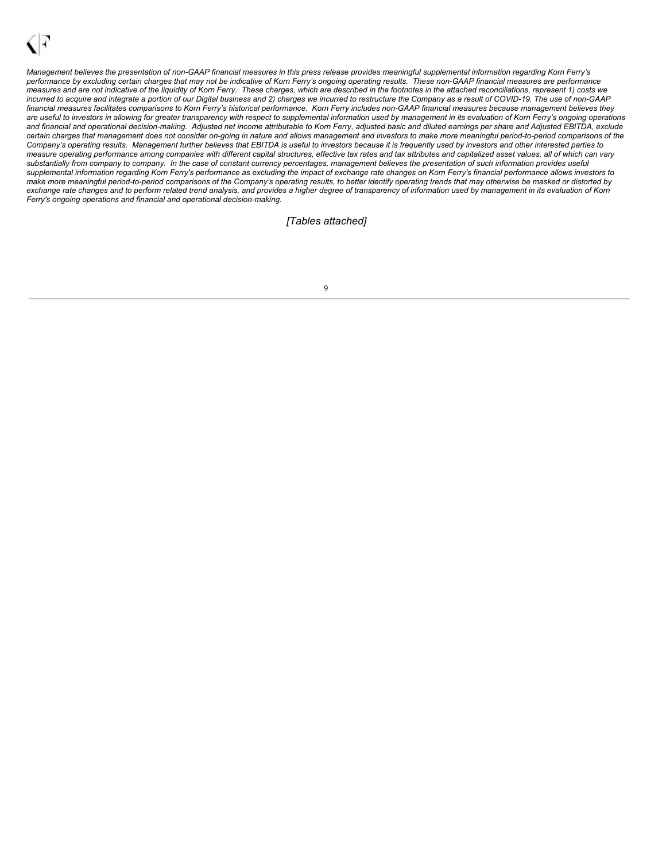Management believes the presentation of non-GAAP financial measures in this press release provides meaningful supplemental information regarding Korn Ferry's performance by excluding certain charges that may not be indicative of Korn Ferry's ongoing operating results. These non-GAAP financial measures are performance measures and are not indicative of the liquidity of Korn Ferry. These charges, which are described in the footnotes in the attached reconciliations, represent 1) costs we incurred to acquire and integrate a portion of our Digital business and 2) charges we incurred to restructure the Company as a result of COVID-19. The use of non-GAAP financial measures facilitates comparisons to Korn Ferry's historical performance. Korn Ferry includes non-GAAP financial measures because management believes they are useful to investors in allowing for greater transparency with respect to supplemental information used by management in its evaluation of Korn Ferry's ongoing operations and financial and operational decision-making. Adjusted net income attributable to Korn Ferry, adjusted basic and diluted earnings per share and Adjusted EBITDA, exclude certain charges that management does not consider on-going in nature and allows management and investors to make more meaningful period-to-period comparisons of the Company's operating results. Management further believes that EBITDA is useful to investors because it is frequently used by investors and other interested parties to measure operating performance among companies with different capital structures, effective tax rates and tax attributes and capitalized asset values, all of which can vary substantially from company to company. In the case of constant currency percentages, management believes the presentation of such information provides useful supplemental information regarding Korn Ferry's performance as excluding the impact of exchange rate changes on Korn Ferry's financial performance allows investors to make more meaningful period-to-period comparisons of the Company's operating results, to better identify operating trends that may otherwise be masked or distorted by exchange rate changes and to perform related trend analysis, and provides a higher degree of transparency of information used by management in its evaluation of Korn *Ferry's ongoing operations and financial and operational decision-making.*

### *[Tables attached]*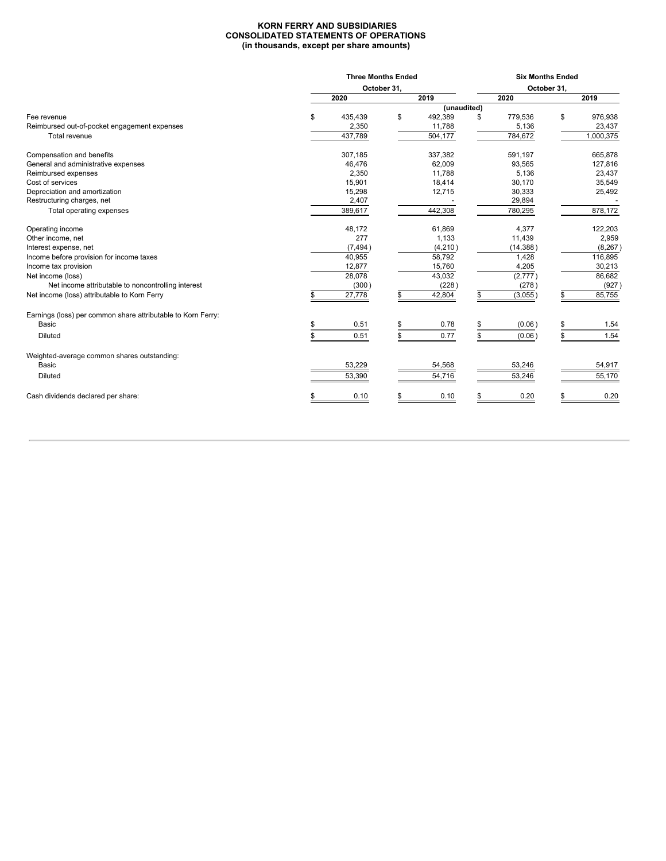#### **KORN FERRY AND SUBSIDIARIES CONSOLIDATED STATEMENTS OF OPERATIONS (in thousands, except per share amounts)**

|                                                              | <b>Three Months Ended</b> |             |             |    | <b>Six Months Ended</b> |             |           |  |  |  |  |
|--------------------------------------------------------------|---------------------------|-------------|-------------|----|-------------------------|-------------|-----------|--|--|--|--|
|                                                              |                           | October 31, |             |    |                         | October 31, |           |  |  |  |  |
|                                                              | 2020                      |             | 2019        |    | 2020                    |             | 2019      |  |  |  |  |
|                                                              |                           |             | (unaudited) |    |                         |             |           |  |  |  |  |
| Fee revenue                                                  | \$<br>435,439             | \$          | 492,389     | \$ | 779,536                 | \$          | 976,938   |  |  |  |  |
| Reimbursed out-of-pocket engagement expenses                 | 2,350                     |             | 11,788      |    | 5,136                   |             | 23,437    |  |  |  |  |
| Total revenue                                                | 437,789                   |             | 504,177     |    | 784,672                 |             | 1,000,375 |  |  |  |  |
| Compensation and benefits                                    | 307,185                   |             | 337,382     |    | 591,197                 |             | 665,878   |  |  |  |  |
| General and administrative expenses                          | 46,476                    |             | 62,009      |    | 93,565                  |             | 127,816   |  |  |  |  |
| Reimbursed expenses                                          | 2,350                     |             | 11,788      |    | 5,136                   |             | 23,437    |  |  |  |  |
| Cost of services                                             | 15,901                    |             | 18,414      |    | 30,170                  |             | 35,549    |  |  |  |  |
| Depreciation and amortization                                | 15,298                    |             | 12,715      |    | 30,333                  |             | 25,492    |  |  |  |  |
| Restructuring charges, net                                   | 2,407                     |             |             |    | 29,894                  |             |           |  |  |  |  |
| Total operating expenses                                     | 389,617                   |             | 442,308     |    | 780,295                 |             | 878,172   |  |  |  |  |
| Operating income                                             | 48,172                    |             | 61,869      |    | 4,377                   |             | 122,203   |  |  |  |  |
| Other income, net                                            | 277                       |             | 1,133       |    | 11,439                  |             | 2,959     |  |  |  |  |
| Interest expense, net                                        | (7, 494)                  |             | (4,210)     |    | (14, 388)               |             | (8, 267)  |  |  |  |  |
| Income before provision for income taxes                     | 40,955                    |             | 58,792      |    | 1,428                   |             | 116,895   |  |  |  |  |
| Income tax provision                                         | 12,877                    |             | 15,760      |    | 4,205                   |             | 30,213    |  |  |  |  |
| Net income (loss)                                            | 28,078                    |             | 43,032      |    | (2,777)                 |             | 86,682    |  |  |  |  |
| Net income attributable to noncontrolling interest           | (300)                     |             | (228)       |    | (278)                   |             | (927)     |  |  |  |  |
| Net income (loss) attributable to Korn Ferry                 | 27,778                    |             | 42,804      |    | (3,055)                 |             | 85,755    |  |  |  |  |
| Earnings (loss) per common share attributable to Korn Ferry: |                           |             |             |    |                         |             |           |  |  |  |  |
| Basic                                                        | 0.51                      |             | 0.78        |    | (0.06)                  |             | 1.54      |  |  |  |  |
| <b>Diluted</b>                                               | 0.51                      |             | 0.77        |    | (0.06)                  |             | 1.54      |  |  |  |  |
| Weighted-average common shares outstanding:                  |                           |             |             |    |                         |             |           |  |  |  |  |
| Basic                                                        | 53,229                    |             | 54,568      |    | 53,246                  |             | 54,917    |  |  |  |  |
| <b>Diluted</b>                                               | 53,390                    |             | 54,716      |    | 53,246                  |             | 55,170    |  |  |  |  |
| Cash dividends declared per share:                           | 0.10                      |             | 0.10        |    | 0.20                    |             | 0.20      |  |  |  |  |
|                                                              |                           |             |             |    |                         |             |           |  |  |  |  |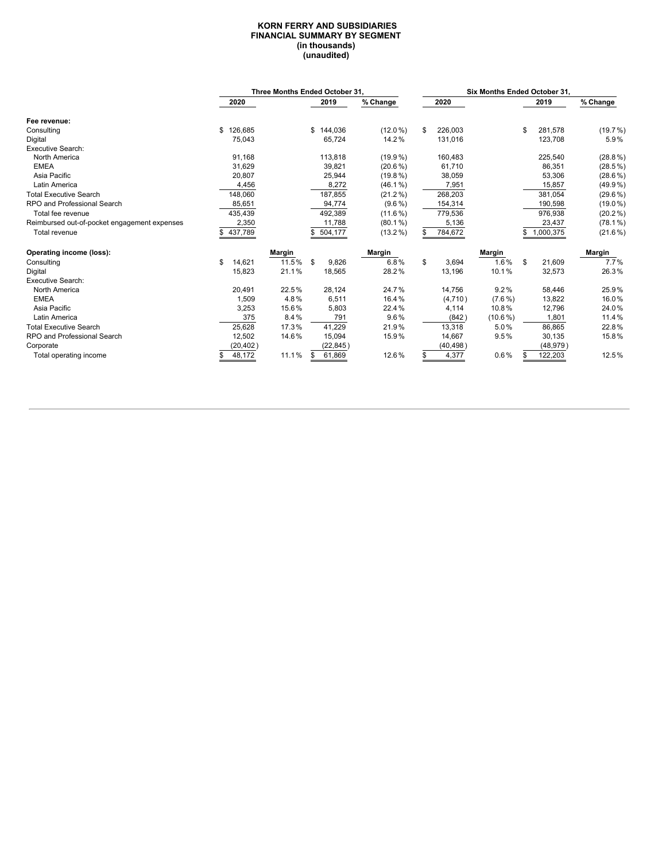#### **KORN FERRY AND SUBSIDIARIES FINANCIAL SUMMARY BY SEGMENT (in thousands) (unaudited)**

|                                              |               |        | Three Months Ended October 31. |            |               | <b>Six Months Ended October 31.</b> |    |           |            |
|----------------------------------------------|---------------|--------|--------------------------------|------------|---------------|-------------------------------------|----|-----------|------------|
|                                              | 2020          |        | 2019                           | % Change   | 2020          |                                     |    | 2019      | % Change   |
| Fee revenue:                                 |               |        |                                |            |               |                                     |    |           |            |
| Consulting                                   | 126,685<br>\$ |        | \$144,036                      | $(12.0\%)$ | \$<br>226,003 |                                     |    | 281,578   | (19.7%)    |
| Digital                                      | 75,043        |        | 65,724                         | 14.2%      | 131,016       |                                     |    | 123,708   | 5.9%       |
| <b>Executive Search:</b>                     |               |        |                                |            |               |                                     |    |           |            |
| North America                                | 91,168        |        | 113,818                        | $(19.9\%)$ | 160,483       |                                     |    | 225,540   | $(28.8\%)$ |
| <b>EMEA</b>                                  | 31,629        |        | 39,821                         | $(20.6\%)$ | 61,710        |                                     |    | 86,351    | $(28.5\%)$ |
| Asia Pacific                                 | 20,807        |        | 25,944                         | $(19.8\%)$ | 38,059        |                                     |    | 53,306    | $(28.6\%)$ |
| Latin America                                | 4,456         |        | 8,272                          | $(46.1\%)$ | 7,951         |                                     |    | 15,857    | $(49.9\%)$ |
| <b>Total Executive Search</b>                | 148,060       |        | 187,855                        | $(21.2\%)$ | 268,203       |                                     |    | 381,054   | $(29.6\%)$ |
| RPO and Professional Search                  | 85,651        |        | 94,774                         | $(9.6\%)$  | 154,314       |                                     |    | 190,598   | $(19.0\%)$ |
| Total fee revenue                            | 435,439       |        | 492,389                        | $(11.6\%)$ | 779,536       |                                     |    | 976,938   | $(20.2\%)$ |
| Reimbursed out-of-pocket engagement expenses | 2,350         |        | 11,788                         | $(80.1\%)$ | 5,136         |                                     |    | 23,437    | $(78.1\%)$ |
| Total revenue                                | 437,789       |        | 504,177<br>\$                  | $(13.2\%)$ | 784,672       |                                     |    | 1,000,375 | $(21.6\%)$ |
| Operating income (loss):                     |               | Margin |                                | Margin     |               | Margin                              |    |           | Margin     |
| Consulting                                   | 14,621<br>\$  | 11.5%  | \$<br>9.826                    | 6.8%       | \$<br>3,694   | 1.6%                                | \$ | 21,609    | 7.7%       |
| Digital                                      | 15,823        | 21.1%  | 18,565                         | 28.2%      | 13,196        | 10.1%                               |    | 32,573    | 26.3%      |
| <b>Executive Search:</b>                     |               |        |                                |            |               |                                     |    |           |            |
| North America                                | 20,491        | 22.5%  | 28,124                         | 24.7%      | 14.756        | 9.2%                                |    | 58,446    | 25.9%      |
| <b>EMEA</b>                                  | 1,509         | 4.8%   | 6,511                          | 16.4%      | (4,710)       | $(7.6\%)$                           |    | 13,822    | 16.0%      |
| Asia Pacific                                 | 3,253         | 15.6%  | 5,803                          | 22.4%      | 4,114         | 10.8%                               |    | 12,796    | 24.0%      |
| Latin America                                | 375           | 8.4%   | 791                            | 9.6%       | (842)         | $(10.6\%)$                          |    | 1,801     | 11.4%      |
| <b>Total Executive Search</b>                | 25,628        | 17.3%  | 41,229                         | 21.9%      | 13,318        | 5.0%                                |    | 86,865    | 22.8%      |
| RPO and Professional Search                  | 12,502        | 14.6%  | 15,094                         | 15.9%      | 14,667        | 9.5%                                |    | 30,135    | 15.8%      |
| Corporate                                    | (20, 402)     |        | (22, 845)                      |            | (40, 498)     |                                     |    | (48, 979) |            |
| Total operating income                       | 48,172        | 11.1%  | 61,869<br>\$                   | 12.6%      | 4,377         | $0.6\%$                             |    | 122,203   | 12.5%      |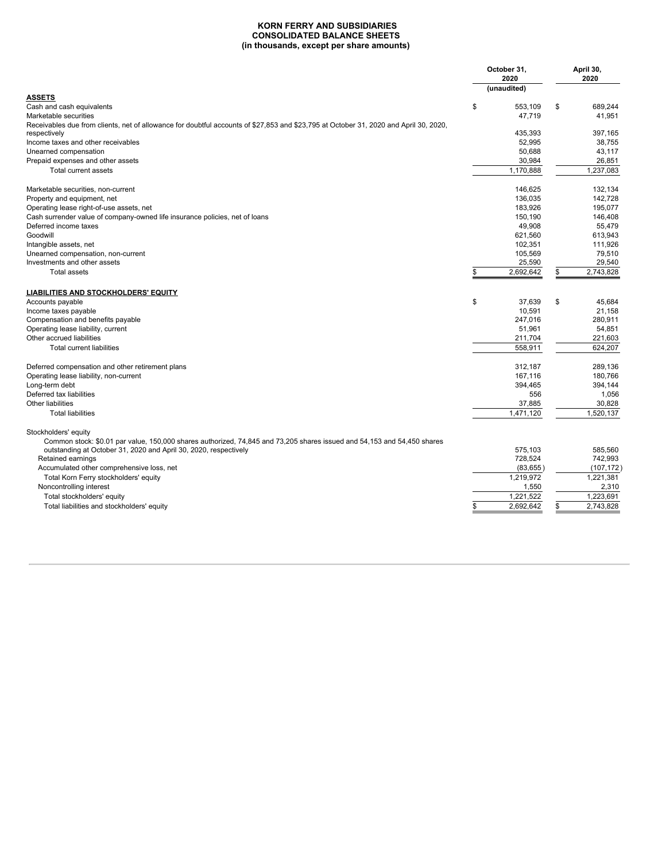#### **KORN FERRY AND SUBSIDIARIES CONSOLIDATED BALANCE SHEETS (in thousands, except per share amounts)**

|                                                                                                                                                       | October 31,<br>2020<br>(unaudited) | April 30,<br>2020 |
|-------------------------------------------------------------------------------------------------------------------------------------------------------|------------------------------------|-------------------|
| <b>ASSETS</b>                                                                                                                                         |                                    |                   |
| Cash and cash equivalents                                                                                                                             | \$<br>553,109                      | \$<br>689,244     |
| Marketable securities                                                                                                                                 | 47.719                             | 41.951            |
| Receivables due from clients, net of allowance for doubtful accounts of \$27,853 and \$23,795 at October 31, 2020 and April 30, 2020,<br>respectively | 435.393                            | 397.165           |
| Income taxes and other receivables                                                                                                                    | 52,995                             | 38,755            |
| Unearned compensation                                                                                                                                 | 50,688                             | 43.117            |
| Prepaid expenses and other assets                                                                                                                     | 30,984                             | 26,851            |
| Total current assets                                                                                                                                  | 1,170,888                          | 1,237,083         |
| Marketable securities, non-current                                                                                                                    | 146,625                            | 132,134           |
| Property and equipment, net                                                                                                                           | 136.035                            | 142.728           |
| Operating lease right-of-use assets, net                                                                                                              | 183,926                            | 195,077           |
| Cash surrender value of company-owned life insurance policies, net of loans                                                                           | 150,190                            | 146,408           |
| Deferred income taxes                                                                                                                                 | 49,908                             | 55,479            |
| Goodwill                                                                                                                                              | 621,560                            | 613,943           |
| Intangible assets, net                                                                                                                                | 102,351                            | 111,926           |
| Unearned compensation, non-current                                                                                                                    | 105,569                            | 79,510            |
| Investments and other assets                                                                                                                          | 25,590                             | 29,540            |
| <b>Total assets</b>                                                                                                                                   | \$<br>2,692,642                    | \$<br>2,743,828   |
| <b>LIABILITIES AND STOCKHOLDERS' EQUITY</b>                                                                                                           |                                    |                   |
| Accounts payable                                                                                                                                      | \$<br>37.639                       | \$<br>45.684      |
| Income taxes payable                                                                                                                                  | 10,591                             | 21.158            |
| Compensation and benefits payable                                                                                                                     | 247.016                            | 280,911           |
| Operating lease liability, current                                                                                                                    | 51,961                             | 54,851            |
| Other accrued liabilities                                                                                                                             | 211,704                            | 221,603           |
| <b>Total current liabilities</b>                                                                                                                      | 558,911                            | 624,207           |
| Deferred compensation and other retirement plans                                                                                                      | 312,187                            | 289.136           |
| Operating lease liability, non-current                                                                                                                | 167.116                            | 180.766           |
| Long-term debt                                                                                                                                        | 394,465                            | 394,144           |
| Deferred tax liabilities                                                                                                                              | 556                                | 1.056             |
| Other liabilities                                                                                                                                     | 37,885                             | 30,828            |
| <b>Total liabilities</b>                                                                                                                              | 1,471,120                          | 1,520,137         |
| Stockholders' equity<br>Common stock: \$0.01 par value, 150,000 shares authorized, 74,845 and 73,205 shares issued and 54,153 and 54,450 shares       |                                    |                   |
| outstanding at October 31, 2020 and April 30, 2020, respectively                                                                                      | 575,103                            | 585,560           |
| Retained earnings                                                                                                                                     | 728,524                            | 742,993           |
| Accumulated other comprehensive loss, net                                                                                                             | (83, 655)                          | (107, 172)        |
| Total Korn Ferry stockholders' equity                                                                                                                 | 1.219.972                          | 1.221.381         |
| Noncontrolling interest                                                                                                                               | 1,550                              | 2,310             |
| Total stockholders' equity                                                                                                                            | 1,221,522                          | 1,223,691         |
| Total liabilities and stockholders' equity                                                                                                            | 2,692,642                          | \$<br>2,743,828   |
|                                                                                                                                                       |                                    |                   |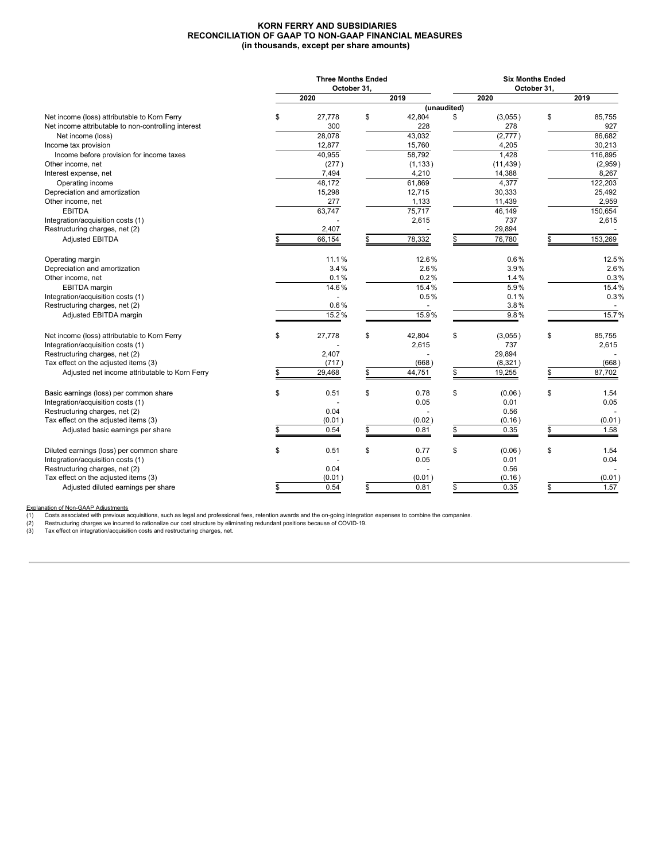#### **KORN FERRY AND SUBSIDIARIES RECONCILIATION OF GAAP TO NON-GAAP FINANCIAL MEASURES (in thousands, except per share amounts)**

|                                                     | <b>Three Months Ended</b> |                | <b>Six Months Ended</b> |             |    |         |  |  |  |  |  |
|-----------------------------------------------------|---------------------------|----------------|-------------------------|-------------|----|---------|--|--|--|--|--|
|                                                     | October 31,               |                |                         | October 31, |    |         |  |  |  |  |  |
|                                                     | 2020                      | 2019           |                         | 2020        |    | 2019    |  |  |  |  |  |
|                                                     |                           |                | (unaudited)             |             |    |         |  |  |  |  |  |
| Net income (loss) attributable to Korn Ferry        | \$<br>27,778              | \$<br>42,804   | \$                      | (3,055)     | \$ | 85.755  |  |  |  |  |  |
| Net income attributable to non-controlling interest | 300                       | 228            |                         | 278         |    | 927     |  |  |  |  |  |
| Net income (loss)                                   | 28,078                    | 43,032         |                         | (2,777)     |    | 86,682  |  |  |  |  |  |
| Income tax provision                                | 12,877                    | 15,760         |                         | 4,205       |    | 30,213  |  |  |  |  |  |
| Income before provision for income taxes            | 40,955                    | 58,792         |                         | 1,428       |    | 116,895 |  |  |  |  |  |
| Other income, net                                   | (277)                     | (1, 133)       |                         | (11, 439)   |    | (2,959) |  |  |  |  |  |
| Interest expense, net                               | 7,494                     | 4,210          |                         | 14,388      |    | 8,267   |  |  |  |  |  |
| Operating income                                    | 48,172                    | 61,869         |                         | 4,377       |    | 122,203 |  |  |  |  |  |
| Depreciation and amortization                       | 15,298                    | 12,715         |                         | 30,333      |    | 25,492  |  |  |  |  |  |
| Other income, net                                   | 277                       | 1,133          |                         | 11,439      |    | 2,959   |  |  |  |  |  |
| <b>EBITDA</b>                                       | 63,747                    | 75,717         |                         | 46,149      |    | 150,654 |  |  |  |  |  |
| Integration/acquisition costs (1)                   |                           | 2,615          |                         | 737         |    | 2,615   |  |  |  |  |  |
| Restructuring charges, net (2)                      | 2,407                     |                |                         | 29,894      |    |         |  |  |  |  |  |
| <b>Adjusted EBITDA</b>                              | 66,154                    | 78,332         | £.                      | 76,780      |    | 153,269 |  |  |  |  |  |
| Operating margin                                    | 11.1%                     | 12.6%          |                         | 0.6%        |    | 12.5%   |  |  |  |  |  |
| Depreciation and amortization                       | 3.4%                      | 2.6%           |                         | 3.9%        |    | 2.6%    |  |  |  |  |  |
| Other income, net                                   | 0.1%                      | 0.2%           |                         | 1.4%        |    | 0.3%    |  |  |  |  |  |
| <b>EBITDA</b> margin                                | 14.6%                     | 15.4%          |                         | 5.9%        |    | 15.4%   |  |  |  |  |  |
| Integration/acquisition costs (1)                   |                           | 0.5%           |                         | 0.1%        |    | 0.3%    |  |  |  |  |  |
| Restructuring charges, net (2)                      | 0.6%                      |                |                         | 3.8%        |    |         |  |  |  |  |  |
| Adjusted EBITDA margin                              | 15.2%                     | 15.9%          |                         | 9.8%        |    | 15.7%   |  |  |  |  |  |
|                                                     |                           |                |                         |             |    |         |  |  |  |  |  |
| Net income (loss) attributable to Korn Ferry        | \$<br>27,778              | \$<br>42,804   | \$                      | (3,055)     | \$ | 85,755  |  |  |  |  |  |
| Integration/acquisition costs (1)                   |                           | 2,615          |                         | 737         |    | 2,615   |  |  |  |  |  |
| Restructuring charges, net (2)                      | 2,407                     |                |                         | 29,894      |    |         |  |  |  |  |  |
| Tax effect on the adjusted items (3)                | (717)                     | (668)          |                         | (8,321)     |    | (668)   |  |  |  |  |  |
| Adjusted net income attributable to Korn Ferry      | 29,468                    | \$<br>44,751   | \$                      | 19,255      |    | 87,702  |  |  |  |  |  |
| Basic earnings (loss) per common share              | \$<br>0.51                | \$<br>0.78     | \$                      | (0.06)      | \$ | 1.54    |  |  |  |  |  |
| Integration/acquisition costs (1)                   |                           | 0.05           |                         | 0.01        |    | 0.05    |  |  |  |  |  |
| Restructuring charges, net (2)                      | 0.04                      | $\overline{a}$ |                         | 0.56        |    |         |  |  |  |  |  |
| Tax effect on the adjusted items (3)                | (0.01)                    | (0.02)         |                         | (0.16)      |    | (0.01)  |  |  |  |  |  |
| Adjusted basic earnings per share                   | \$<br>0.54                | \$<br>0.81     | \$                      | 0.35        | \$ | 1.58    |  |  |  |  |  |
| Diluted earnings (loss) per common share            | \$<br>0.51                | \$<br>0.77     | \$                      | (0.06)      | \$ | 1.54    |  |  |  |  |  |
| Integration/acquisition costs (1)                   |                           | 0.05           |                         | 0.01        |    | 0.04    |  |  |  |  |  |
| Restructuring charges, net (2)                      | 0.04                      |                |                         | 0.56        |    |         |  |  |  |  |  |
| Tax effect on the adjusted items (3)                | (0.01)                    | (0.01)         |                         | (0.16)      |    | (0.01)  |  |  |  |  |  |
| Adjusted diluted earnings per share                 | \$<br>0.54                | \$<br>0.81     | \$                      | 0.35        | \$ | 1.57    |  |  |  |  |  |
|                                                     |                           |                |                         |             |    |         |  |  |  |  |  |

Explanation of Non-GAAP Adjustments<br>
(1) Costs associated with previous a<br>
(2) Restructuring charges we incurre (1) Costs associated with previous acquisitions, such as legal and professional fees, retention awards and the on-going integration expenses to combine the companies.<br>(2) Restructuring charges we incurred to rationalize ou

(3) Tax effect on integration/acquisition costs and restructuring charges, net.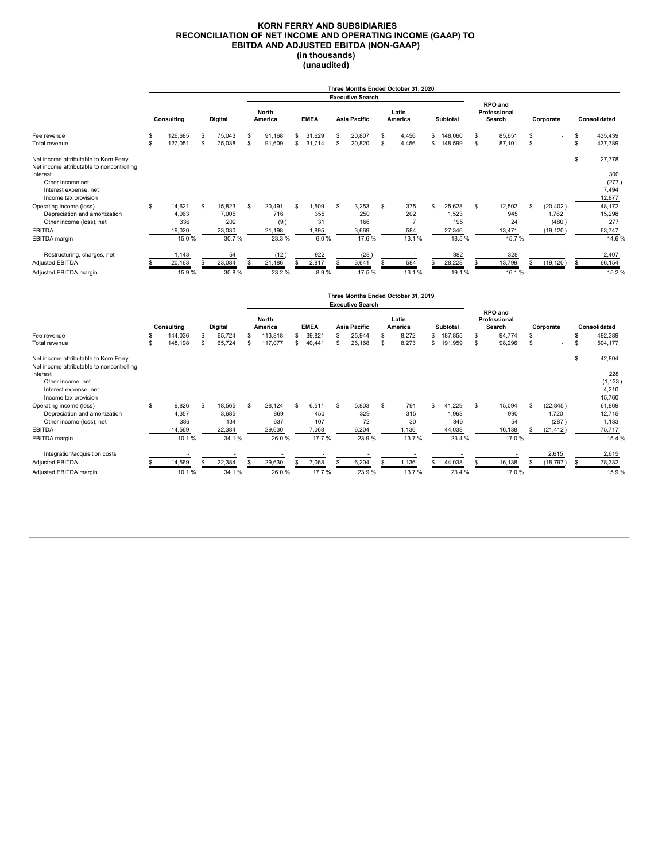#### **KORN FERRY AND SUBSIDIARIES RECONCILIATION OF NET INCOME AND OPERATING INCOME (GAAP) TO EBITDA AND ADJUSTED EBITDA (NON-GAAP) (in thousands) (unaudited)**

|                                                                                                                                                                      |            |                                           |                      |                                           | Three Months Ended October 31, 2020<br><b>Executive Search</b> |                                             |             |                                       |              |                                       |          |                                              |          |                                            |                                   |                                        |                      |                                          |          |                                               |
|----------------------------------------------------------------------------------------------------------------------------------------------------------------------|------------|-------------------------------------------|----------------------|-------------------------------------------|----------------------------------------------------------------|---------------------------------------------|-------------|---------------------------------------|--------------|---------------------------------------|----------|----------------------------------------------|----------|--------------------------------------------|-----------------------------------|----------------------------------------|----------------------|------------------------------------------|----------|-----------------------------------------------|
|                                                                                                                                                                      | Consulting |                                           | Digital              |                                           |                                                                | <b>North</b><br>America                     | <b>EMEA</b> |                                       | Asia Pacific |                                       |          | Latin<br>America                             | Subtotal |                                            | RPO and<br>Professional<br>Search |                                        | Corporate            |                                          |          | Consolidated                                  |
| Fee revenue<br>Total revenue                                                                                                                                         | \$<br>\$   | 126,685<br>127,051                        | £.<br>$\mathfrak{s}$ | 75,043<br>75,038                          | S<br>\$                                                        | 91.168<br>91,609                            | S<br>\$     | 31,629<br>31,714                      | \$<br>\$     | 20,807<br>20,820                      | S<br>S   | 4,456<br>4,456                               | \$<br>\$ | 148.060<br>148,599                         | S<br>S                            | 85.651<br>87.101                       | \$<br>$\mathfrak{s}$ |                                          | \$<br>\$ | 435,439<br>437,789                            |
| Net income attributable to Korn Ferry<br>Net income attributable to noncontrolling<br>interest<br>Other income net<br>Interest expense, net<br>Income tax provision  |            |                                           |                      |                                           |                                                                |                                             |             |                                       |              |                                       |          |                                              |          |                                            |                                   |                                        |                      |                                          | \$       | 27,778<br>300<br>(277)<br>7.494<br>12,877     |
| Operating income (loss)<br>Depreciation and amortization<br>Other income (loss), net<br><b>EBITDA</b><br><b>EBITDA</b> margin                                        | \$         | 14,621<br>4,063<br>336<br>19,020<br>15.0% | \$                   | 15,823<br>7,005<br>202<br>23,030<br>30.7% | \$                                                             | 20,491<br>716<br>(9)<br>21,198<br>23.3%     | S           | 1,509<br>355<br>31<br>1,895<br>6.0%   | \$           | 3,253<br>250<br>166<br>3.669<br>17.6% | S        | 375<br>202<br>$\overline{7}$<br>584<br>13.1% | s.       | 25,628<br>1,523<br>195<br>27,346<br>18.5%  | \$                                | 12,502<br>945<br>24<br>13,471<br>15.7% | \$                   | (20, 402)<br>1,762<br>(480)<br>(19, 120) |          | 48,172<br>15,298<br>277<br>63,747<br>14.6%    |
| Restructuring, charges, net<br><b>Adjusted EBITDA</b><br>Adjusted EBITDA margin                                                                                      |            | 1,143<br>20,163<br>15.9%                  |                      | 54<br>23,084<br>30.8%                     |                                                                | (12)<br>21,186<br>23.2%                     |             | 922<br>2,817<br>8.9%                  | \$           | (28)<br>3,641<br>17.5%                |          | - 1<br>584<br>13.1%                          |          | 882<br>28,228<br>19.1%                     |                                   | 328<br>13,799<br>16.1%                 |                      | (19, 120)                                | S        | 2.407<br>66,154<br>15.2%                      |
|                                                                                                                                                                      |            |                                           |                      |                                           |                                                                |                                             |             |                                       |              | <b>Executive Search</b>               |          | Three Months Ended October 31, 2019          |          |                                            |                                   |                                        |                      |                                          |          |                                               |
|                                                                                                                                                                      |            | Consulting                                |                      | Digital                                   |                                                                | <b>North</b><br>America                     |             | <b>EMEA</b>                           |              | Asia Pacific                          |          | Latin<br>America                             |          | Subtotal                                   |                                   | RPO and<br>Professional<br>Search      |                      | Corporate                                |          | Consolidated                                  |
| Fee revenue<br>Total revenue                                                                                                                                         | \$<br>\$   | 144.036<br>148.198                        | \$<br>\$             | 65,724<br>65,724                          | \$<br>s                                                        | 113,818<br>117.077                          | \$<br>\$    | 39.821<br>40.441                      | \$<br>\$     | 25.944<br>26,168                      | \$<br>\$ | 8,272<br>8,273                               | \$       | 187.855<br>\$191,959                       | \$<br>\$                          | 94.774<br>98.296                       | \$.<br>\$            |                                          | \$<br>\$ | 492,389<br>504,177                            |
| Net income attributable to Korn Ferry<br>Net income attributable to noncontrolling<br>interest<br>Other income, net<br>Interest expense, net<br>Income tax provision |            |                                           |                      |                                           |                                                                |                                             |             |                                       |              |                                       |          |                                              |          |                                            |                                   |                                        |                      |                                          | \$       | 42,804<br>228<br>(1, 133)<br>4,210<br>15,760  |
| Operating income (loss)<br>Depreciation and amortization<br>Other income (loss), net<br><b>EBITDA</b><br><b>EBITDA</b> margin                                        | \$         | 9,826<br>4,357<br>386<br>14,569<br>10.1%  | \$                   | 18,565<br>3,685<br>134<br>22,384<br>34.1% | <b>S</b>                                                       | 28,124<br>869<br>637<br>29,630<br>26.0%     | \$          | 6.511<br>450<br>107<br>7,068<br>17.7% | \$           | 5,803<br>329<br>72<br>6.204<br>23.9%  | S        | 791<br>315<br>30<br>1,136<br>13.7%           | \$       | 41,229<br>1,963<br>846<br>44,038<br>23.4 % | \$                                | 15,094<br>990<br>54<br>16,138<br>17.0% | \$                   | (22, 845)<br>1,720<br>(287)<br>(21, 412) |          | 61,869<br>12,715<br>1,133<br>75,717<br>15.4 % |
| Integration/acquisition costs<br>Adjusted EBITDA<br>Adjusted EBITDA margin                                                                                           |            | 14,569<br>10.1%                           |                      | - -<br>22,384<br>34.1%                    |                                                                | $\overline{\phantom{a}}$<br>29,630<br>26.0% |             | ٠<br>7,068<br>17.7%                   |              | 6,204<br>23.9%                        |          | $\overline{\phantom{a}}$<br>1,136<br>13.7%   |          | 44,038<br>23.4 %                           |                                   | 16,138<br>17.0%                        |                      | 2,615<br>(18, 797)                       | \$       | 2,615<br>78,332<br>15.9%                      |